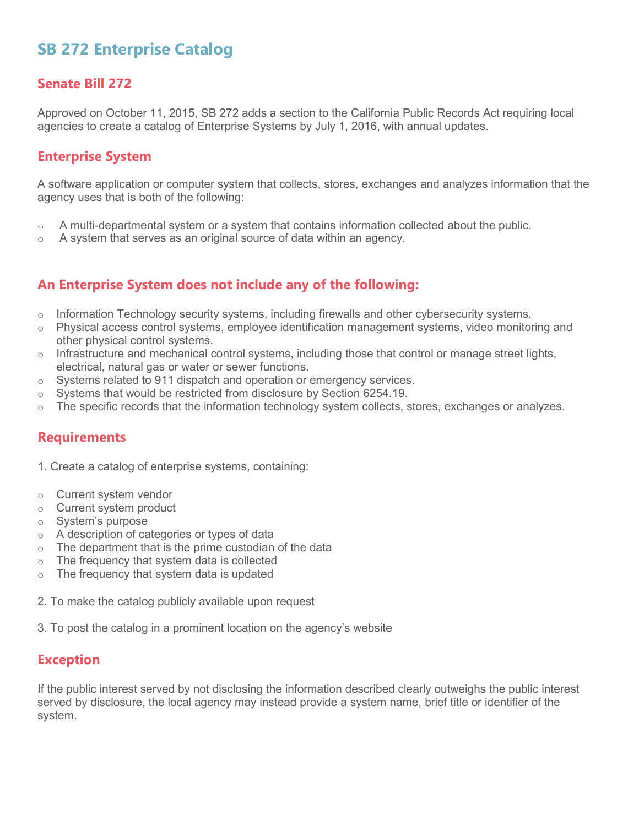# **SB 272 Enterprise Catalog**

### **Senate Bill 272**

Approved on October 11, 2015, SB 272 adds a section to the California Public Records Act requiring local agencies to create a catalog of Enterprise Systems by July 1, 2016, with annual updates.

#### **Enterprise System**

A software application or computer system that collects, stores, exchanges and analyzes information that the agency uses that is both of the following:

- $\circ$  A multi-departmental system or a system that contains information collected about the public.
- $\circ$  A system that serves as an original source of data within an agency.

# **An Enterprise System does not include any of the following:**

- $\circ$  Information Technology security systems, including firewalls and other cybersecurity systems.
- $\circ$  Physical access control systems, employee identification management systems, video monitoring and other physical control systems.
- $\circ$  Infrastructure and mechanical control systems, including those that control or manage street lights, electrical, natural gas or water or sewer functions.
- o Systems related to 911 dispatch and operation or emergency services.
- $\circ$  Systems that would be restricted from disclosure by Section 6254.19.
- $\circ$  The specific records that the information technology system collects, stores, exchanges or analyzes.

# **Requirements**

- 1. Create a catalog of enterprise systems, containing:
- o Current system vendor
- o Current system product
- o System's purpose
- o A description of categories or types of data
- $\circ$  The department that is the prime custodian of the data
- $\circ$  The frequency that system data is collected
- $\circ$  The frequency that system data is updated
- 2. To make the catalog publicly available upon request
- 3. To post the catalog in a prominent location on the agency's website

#### **Exception**

If the public interest served by not disclosing the information described clearly outweighs the public interest served by disclosure, the local agency may instead provide a system name, brief title or identifier of the system.